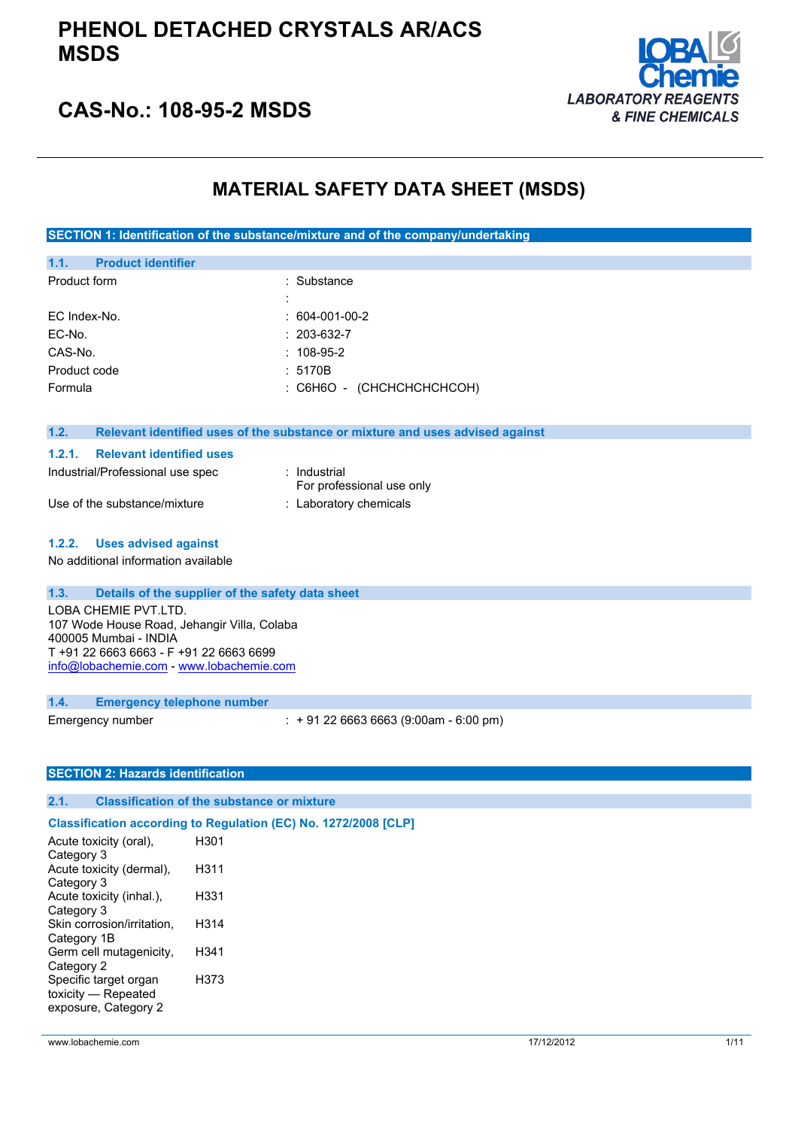

### **CAS-No.: 108-95-2 MSDS**

### **MATERIAL SAFETY DATA SHEET (MSDS)**

**SECTION 1: Identification of the substance/mixture and of the company/undertaking**

| 1.1.<br><b>Product identifier</b>                                    |                                                                               |  |
|----------------------------------------------------------------------|-------------------------------------------------------------------------------|--|
| Product form                                                         | Substance                                                                     |  |
|                                                                      |                                                                               |  |
| EC Index-No.                                                         | $: 604-001-00-2$                                                              |  |
| EC-No.                                                               | 203-632-7                                                                     |  |
| CAS-No.                                                              | $: 108-95-2$                                                                  |  |
| Product code                                                         | : 5170B                                                                       |  |
| Formula                                                              | : С6Н6О - (СНСНСНСНСНСОН)                                                     |  |
|                                                                      |                                                                               |  |
| 1.2.                                                                 | Relevant identified uses of the substance or mixture and uses advised against |  |
| <b>Relevant identified uses</b><br>1.2.1.                            |                                                                               |  |
| Industrial/Professional use spec                                     | : Industrial                                                                  |  |
|                                                                      | For professional use only                                                     |  |
| Use of the substance/mixture                                         | : Laboratory chemicals                                                        |  |
|                                                                      |                                                                               |  |
| <b>Uses advised against</b><br>1.2.2.                                |                                                                               |  |
| No additional information available                                  |                                                                               |  |
|                                                                      |                                                                               |  |
| 1.3.<br>Details of the supplier of the safety data sheet             |                                                                               |  |
| LOBA CHEMIE PVT.LTD.                                                 |                                                                               |  |
| 107 Wode House Road, Jehangir Villa, Colaba<br>400005 Mumbai - INDIA |                                                                               |  |
| T +91 22 6663 6663 - F +91 22 6663 6699                              |                                                                               |  |
| info@lobachemie.com - www.lobachemie.com                             |                                                                               |  |
|                                                                      |                                                                               |  |
| 1.4.<br><b>Emergency telephone number</b>                            |                                                                               |  |
| Emergency number                                                     | $: +912266636663(9:00am - 6:00 pm)$                                           |  |
|                                                                      |                                                                               |  |
|                                                                      |                                                                               |  |
| <b>SECTION 2: Hazards identification</b>                             |                                                                               |  |
| 2.1.<br><b>Classification of the substance or mixture</b>            |                                                                               |  |

#### **Classification according to Regulation (EC) No. 1272/2008 [CLP]**

| Acute toxicity (oral),     | H301 |  |
|----------------------------|------|--|
| Category 3                 |      |  |
| Acute toxicity (dermal),   | H311 |  |
| Category 3                 |      |  |
| Acute toxicity (inhal.),   | H331 |  |
| Category 3                 |      |  |
| Skin corrosion/irritation, | H314 |  |
| Category 1B                |      |  |
| Germ cell mutagenicity,    | H341 |  |
| Category 2                 |      |  |
| Specific target organ      | H373 |  |
| toxicity - Repeated        |      |  |
| exposure, Category 2       |      |  |
|                            |      |  |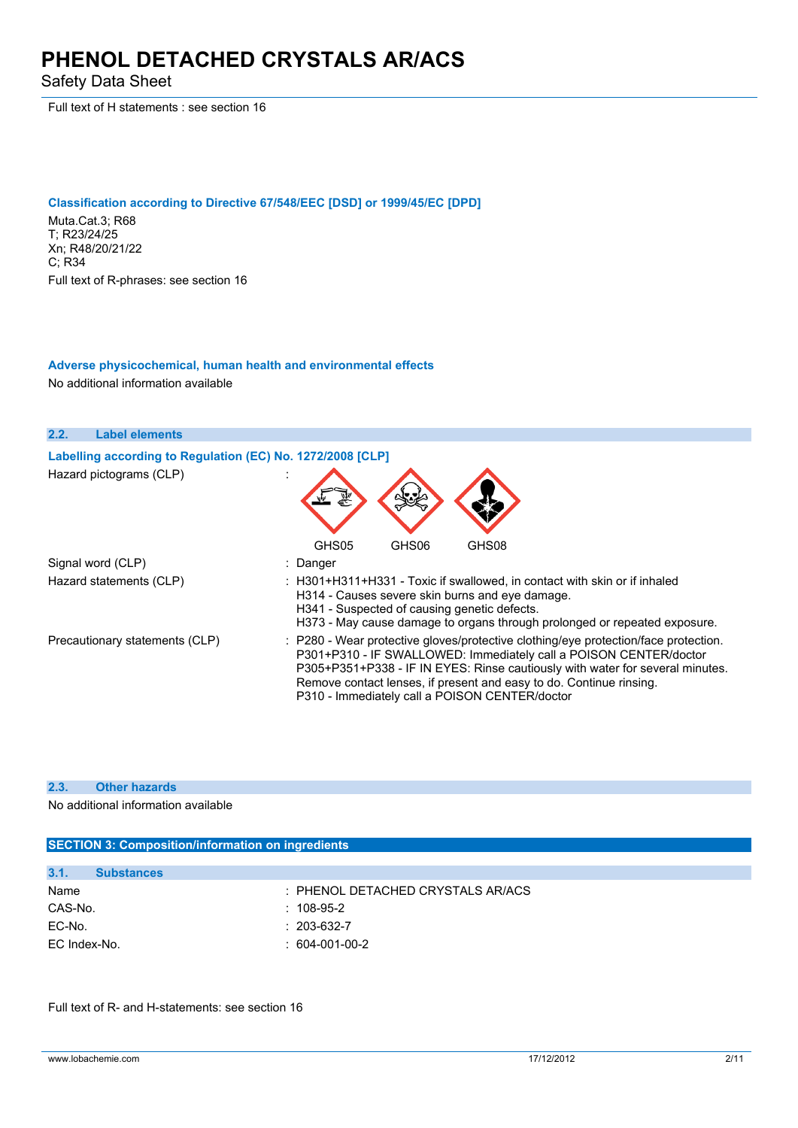Safety Data Sheet

Full text of H statements : see section 16

#### **Classification according to Directive 67/548/EEC [DSD] or 1999/45/EC [DPD]**

Muta.Cat.3; R68 T; R23/24/25 Xn; R48/20/21/22 C; R34 Full text of R-phrases: see section 16

#### **Adverse physicochemical, human health and environmental effects**

No additional information available

| 2.2.<br><b>Label elements</b>                              |                                                                                                                                                                                                                                                                                                                                                                    |
|------------------------------------------------------------|--------------------------------------------------------------------------------------------------------------------------------------------------------------------------------------------------------------------------------------------------------------------------------------------------------------------------------------------------------------------|
| Labelling according to Regulation (EC) No. 1272/2008 [CLP] |                                                                                                                                                                                                                                                                                                                                                                    |
| Hazard pictograms (CLP)                                    |                                                                                                                                                                                                                                                                                                                                                                    |
|                                                            | GHS05<br>GHS06<br>GHS08                                                                                                                                                                                                                                                                                                                                            |
| Signal word (CLP)                                          | : Danger                                                                                                                                                                                                                                                                                                                                                           |
| Hazard statements (CLP)                                    | : H301+H311+H331 - Toxic if swallowed, in contact with skin or if inhaled<br>H314 - Causes severe skin burns and eye damage.<br>H341 - Suspected of causing genetic defects.<br>H373 - May cause damage to organs through prolonged or repeated exposure.                                                                                                          |
| Precautionary statements (CLP)                             | : P280 - Wear protective gloves/protective clothing/eye protection/face protection.<br>P301+P310 - IF SWALLOWED: Immediately call a POISON CENTER/doctor<br>P305+P351+P338 - IF IN EYES: Rinse cautiously with water for several minutes.<br>Remove contact lenses, if present and easy to do. Continue rinsing.<br>P310 - Immediately call a POISON CENTER/doctor |

#### **2.3. Other hazards**

No additional information available

### **SECTION 3: Composition/information on ingredients**

| 3.1.<br><b>Substances</b> |                                       |
|---------------------------|---------------------------------------|
| Name                      | $\pm$ PHENOL DETACHED CRYSTALS AR/ACS |
| CAS-No.                   | $: 108-95-2$                          |
| EC-No.                    | $: 203 - 632 - 7$                     |
| EC Index-No.              | $: 604-001-00-2$                      |

Full text of R- and H-statements: see section 16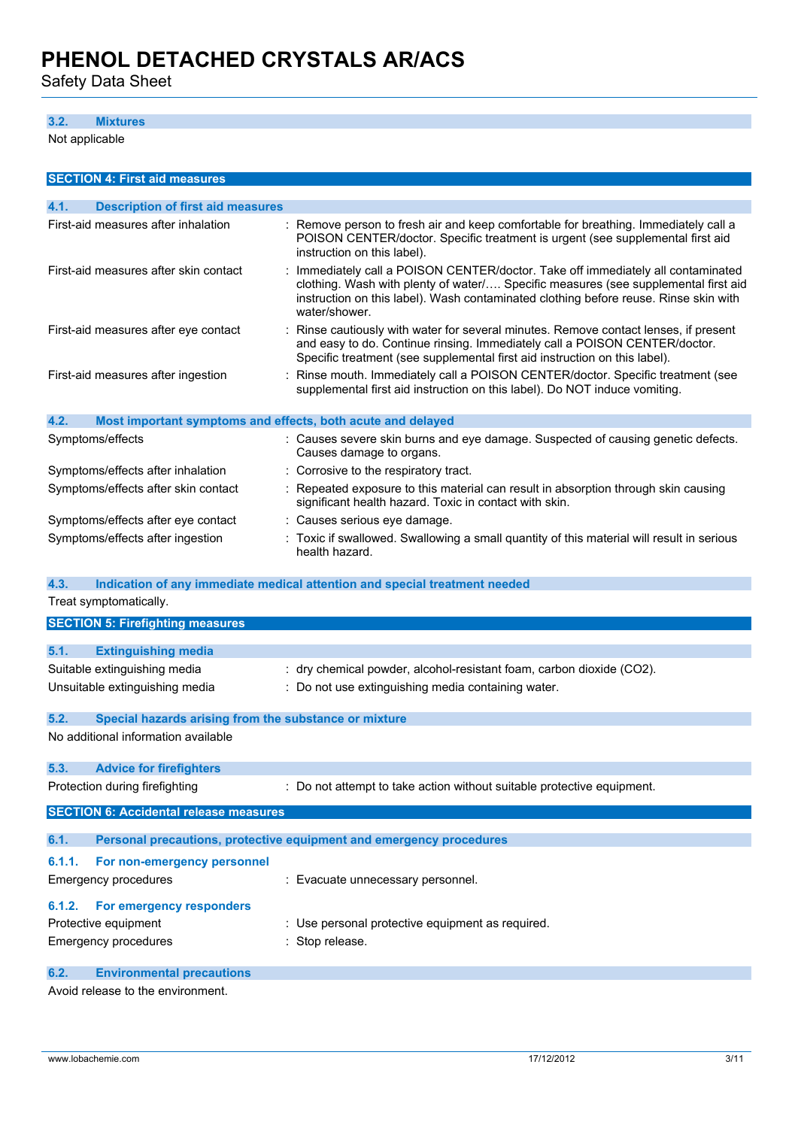Safety Data Sheet

### **3.2. Mixtures**

Not applicable

|                  | <b>SECTION 4: First aid measures</b>                        |                                                                                                                                                                                                                                                                               |
|------------------|-------------------------------------------------------------|-------------------------------------------------------------------------------------------------------------------------------------------------------------------------------------------------------------------------------------------------------------------------------|
| 4.1.             | <b>Description of first aid measures</b>                    |                                                                                                                                                                                                                                                                               |
|                  | First-aid measures after inhalation                         | : Remove person to fresh air and keep comfortable for breathing. Immediately call a<br>POISON CENTER/doctor. Specific treatment is urgent (see supplemental first aid<br>instruction on this label).                                                                          |
|                  | First-aid measures after skin contact                       | Immediately call a POISON CENTER/doctor. Take off immediately all contaminated<br>clothing. Wash with plenty of water/ Specific measures (see supplemental first aid<br>instruction on this label). Wash contaminated clothing before reuse. Rinse skin with<br>water/shower. |
|                  | First-aid measures after eye contact                        | Rinse cautiously with water for several minutes. Remove contact lenses, if present<br>and easy to do. Continue rinsing. Immediately call a POISON CENTER/doctor.<br>Specific treatment (see supplemental first aid instruction on this label).                                |
|                  | First-aid measures after ingestion                          | Rinse mouth. Immediately call a POISON CENTER/doctor. Specific treatment (see<br>supplemental first aid instruction on this label). Do NOT induce vomiting.                                                                                                                   |
| 4.2.             | Most important symptoms and effects, both acute and delayed |                                                                                                                                                                                                                                                                               |
| Symptoms/effects |                                                             | Causes severe skin burns and eye damage. Suspected of causing genetic defects.<br>Causes damage to organs.                                                                                                                                                                    |
|                  | Symptoms/effects after inhalation                           | Corrosive to the respiratory tract.                                                                                                                                                                                                                                           |
|                  | Symptoms/effects after skin contact                         | Repeated exposure to this material can result in absorption through skin causing<br>significant health hazard. Toxic in contact with skin.                                                                                                                                    |
|                  | Symptoms/effects after eye contact                          | : Causes serious eye damage.                                                                                                                                                                                                                                                  |
|                  | Symptoms/effects after ingestion                            | : Toxic if swallowed. Swallowing a small quantity of this material will result in serious<br>health hazard.                                                                                                                                                                   |
| 4.3.             |                                                             | Indication of any immediate medical attention and special treatment needed                                                                                                                                                                                                    |
|                  | Treat symptomatically.                                      |                                                                                                                                                                                                                                                                               |
|                  | <b>SECTION 5: Firefighting measures</b>                     |                                                                                                                                                                                                                                                                               |
|                  |                                                             |                                                                                                                                                                                                                                                                               |
| 5.1.             | <b>Extinguishing media</b>                                  |                                                                                                                                                                                                                                                                               |
|                  | Suitable extinguishing media                                | dry chemical powder, alcohol-resistant foam, carbon dioxide (CO2).                                                                                                                                                                                                            |
|                  | Unsuitable extinguishing media                              | : Do not use extinguishing media containing water.                                                                                                                                                                                                                            |
| 5.2.             | Special hazards arising from the substance or mixture       |                                                                                                                                                                                                                                                                               |
|                  | No additional information available                         |                                                                                                                                                                                                                                                                               |
| 5.3.             | <b>Advice for firefighters</b>                              |                                                                                                                                                                                                                                                                               |
|                  | Protection during firefighting                              | : Do not attempt to take action without suitable protective equipment.                                                                                                                                                                                                        |
|                  | <b>SECTION 6: Accidental release measures</b>               |                                                                                                                                                                                                                                                                               |
| 6.1.             |                                                             | Personal precautions, protective equipment and emergency procedures                                                                                                                                                                                                           |
| 6.1.1.           | For non-emergency personnel                                 |                                                                                                                                                                                                                                                                               |
|                  | <b>Emergency procedures</b>                                 | : Evacuate unnecessary personnel.                                                                                                                                                                                                                                             |
| 6.1.2.           | For emergency responders                                    |                                                                                                                                                                                                                                                                               |
|                  | Protective equipment                                        | : Use personal protective equipment as required.                                                                                                                                                                                                                              |
|                  | <b>Emergency procedures</b>                                 | : Stop release.                                                                                                                                                                                                                                                               |
| 6.2.             | <b>Environmental precautions</b>                            |                                                                                                                                                                                                                                                                               |

Avoid release to the environment.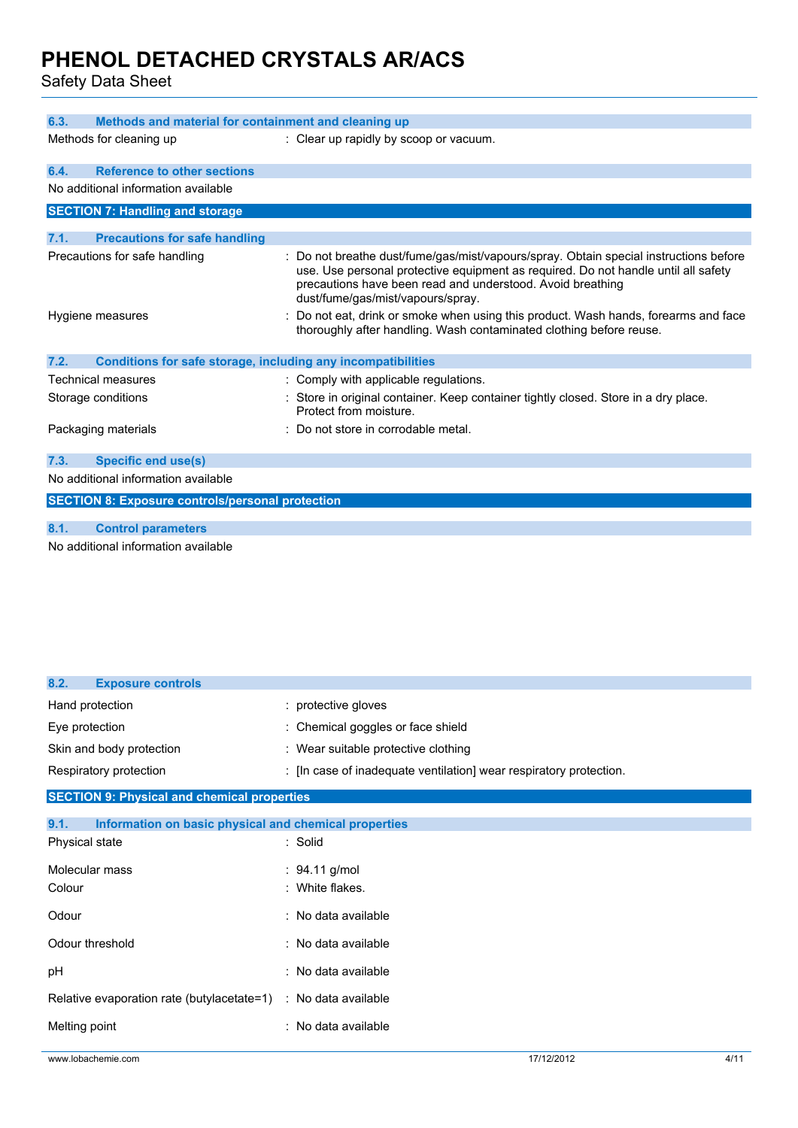Safety Data Sheet

| 6.3.                                                         | Methods and material for containment and cleaning up                                                                                                                                                                                                                           |  |  |
|--------------------------------------------------------------|--------------------------------------------------------------------------------------------------------------------------------------------------------------------------------------------------------------------------------------------------------------------------------|--|--|
| Methods for cleaning up                                      | : Clear up rapidly by scoop or vacuum.                                                                                                                                                                                                                                         |  |  |
| <b>Reference to other sections</b><br>6.4.                   |                                                                                                                                                                                                                                                                                |  |  |
| No additional information available                          |                                                                                                                                                                                                                                                                                |  |  |
| <b>SECTION 7: Handling and storage</b>                       |                                                                                                                                                                                                                                                                                |  |  |
| 7.1.<br><b>Precautions for safe handling</b>                 |                                                                                                                                                                                                                                                                                |  |  |
| Precautions for safe handling                                | : Do not breathe dust/fume/gas/mist/vapours/spray. Obtain special instructions before<br>use. Use personal protective equipment as required. Do not handle until all safety<br>precautions have been read and understood. Avoid breathing<br>dust/fume/gas/mist/vapours/spray. |  |  |
| Hygiene measures                                             | Do not eat, drink or smoke when using this product. Wash hands, forearms and face<br>thoroughly after handling. Wash contaminated clothing before reuse.                                                                                                                       |  |  |
| 7.2.                                                         | Conditions for safe storage, including any incompatibilities                                                                                                                                                                                                                   |  |  |
| Technical measures                                           | : Comply with applicable regulations.                                                                                                                                                                                                                                          |  |  |
| Storage conditions                                           | : Store in original container. Keep container tightly closed. Store in a dry place.<br>Protect from moisture.                                                                                                                                                                  |  |  |
| Packaging materials                                          | : Do not store in corrodable metal.                                                                                                                                                                                                                                            |  |  |
| <b>Specific end use(s)</b><br>7.3.                           |                                                                                                                                                                                                                                                                                |  |  |
| No additional information available                          |                                                                                                                                                                                                                                                                                |  |  |
| <b>SECTION 8: Exposure controls/personal protection</b>      |                                                                                                                                                                                                                                                                                |  |  |
| 8.1.<br><b>Control parameters</b>                            |                                                                                                                                                                                                                                                                                |  |  |
| A harrard although and the factory and a contract the batter |                                                                                                                                                                                                                                                                                |  |  |

No additional information available

| 8.2.<br><b>Exposure controls</b>                   |                                                                    |  |  |  |
|----------------------------------------------------|--------------------------------------------------------------------|--|--|--|
| Hand protection                                    | : protective gloves                                                |  |  |  |
| Eye protection                                     | : Chemical goggles or face shield                                  |  |  |  |
| Skin and body protection                           | : Wear suitable protective clothing                                |  |  |  |
| Respiratory protection                             | : [In case of inadequate ventilation] wear respiratory protection. |  |  |  |
| <b>SECTION 9: Physical and chemical properties</b> |                                                                    |  |  |  |
| 9.1.                                               | Information on basic physical and chemical properties              |  |  |  |
| Physical state                                     | : Solid                                                            |  |  |  |
| Molecular mass                                     | : $94.11$ g/mol                                                    |  |  |  |
| Colour                                             | : White flakes.                                                    |  |  |  |
| Odour                                              | : No data available                                                |  |  |  |
| Odour threshold                                    | : No data available                                                |  |  |  |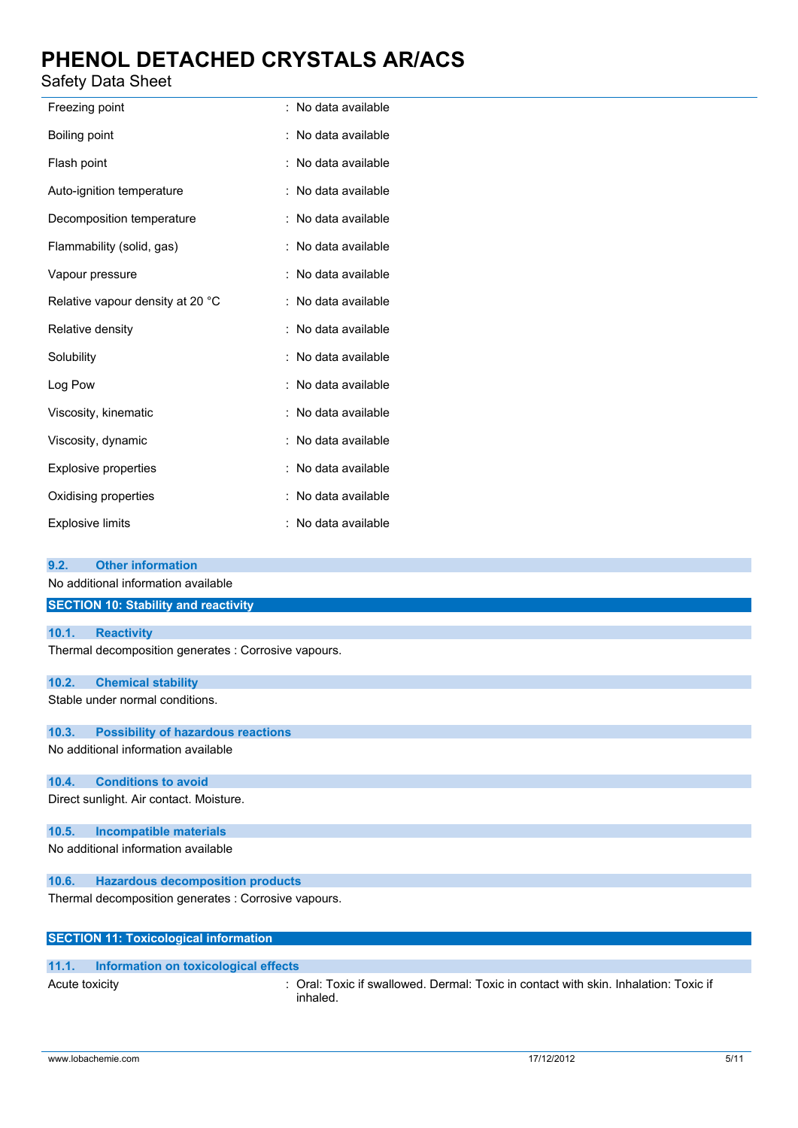### Safety Data Sheet

| Freezing point                   | ÷ | No data available |
|----------------------------------|---|-------------------|
| Boiling point                    |   | No data available |
| Flash point                      |   | No data available |
| Auto-ignition temperature        |   | No data available |
| Decomposition temperature        |   | No data available |
| Flammability (solid, gas)        |   | No data available |
| Vapour pressure                  |   | No data available |
| Relative vapour density at 20 °C |   | No data available |
| Relative density                 |   | No data available |
| Solubility                       |   | No data available |
| Log Pow                          |   | No data available |
| Viscosity, kinematic             |   | No data available |
| Viscosity, dynamic               |   | No data available |
| <b>Explosive properties</b>      |   | No data available |
| Oxidising properties             |   | No data available |
| <b>Explosive limits</b>          |   | No data available |

| 9.2.           | <b>Other information</b>                             |                                                                                                  |
|----------------|------------------------------------------------------|--------------------------------------------------------------------------------------------------|
|                | No additional information available                  |                                                                                                  |
|                | <b>SECTION 10: Stability and reactivity</b>          |                                                                                                  |
|                |                                                      |                                                                                                  |
| 10.1.          | <b>Reactivity</b>                                    |                                                                                                  |
|                | Thermal decomposition generates : Corrosive vapours. |                                                                                                  |
| 10.2.          | <b>Chemical stability</b>                            |                                                                                                  |
|                | Stable under normal conditions.                      |                                                                                                  |
| 10.3.          | <b>Possibility of hazardous reactions</b>            |                                                                                                  |
|                | No additional information available                  |                                                                                                  |
| 10.4.          | <b>Conditions to avoid</b>                           |                                                                                                  |
|                | Direct sunlight. Air contact. Moisture.              |                                                                                                  |
| 10.5.          | <b>Incompatible materials</b>                        |                                                                                                  |
|                | No additional information available                  |                                                                                                  |
| 10.6.          | <b>Hazardous decomposition products</b>              |                                                                                                  |
|                | Thermal decomposition generates : Corrosive vapours. |                                                                                                  |
|                | <b>SECTION 11: Toxicological information</b>         |                                                                                                  |
|                |                                                      |                                                                                                  |
| 11.1.          | Information on toxicological effects                 |                                                                                                  |
| Acute toxicity |                                                      | : Oral: Toxic if swallowed. Dermal: Toxic in contact with skin. Inhalation: Toxic if<br>inhaled. |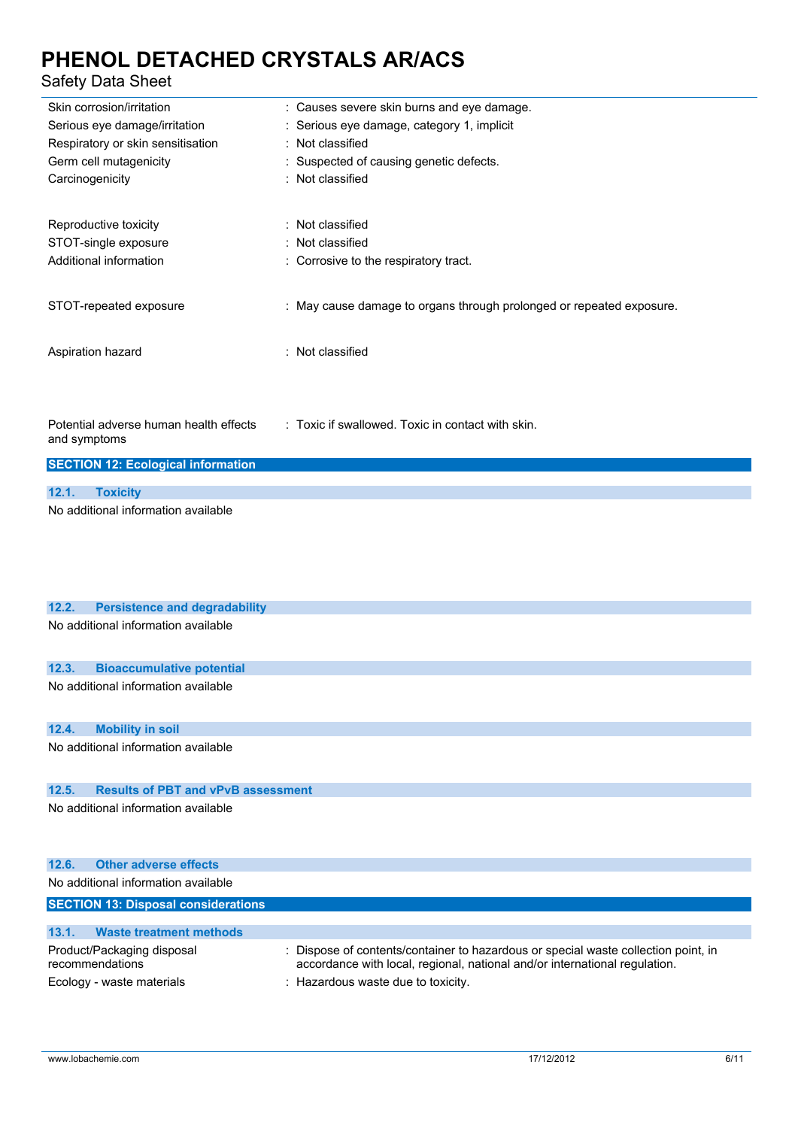### Safety Data Sheet

| odicty Data Officer                                                                             |                                                                                                            |
|-------------------------------------------------------------------------------------------------|------------------------------------------------------------------------------------------------------------|
| Skin corrosion/irritation<br>Serious eye damage/irritation<br>Respiratory or skin sensitisation | : Causes severe skin burns and eye damage.<br>: Serious eye damage, category 1, implicit<br>Not classified |
| Germ cell mutagenicity<br>Carcinogenicity                                                       | : Suspected of causing genetic defects.<br>: Not classified                                                |
| Reproductive toxicity                                                                           | : Not classified                                                                                           |
| STOT-single exposure                                                                            | : Not classified                                                                                           |
| Additional information                                                                          | : Corrosive to the respiratory tract.                                                                      |
| STOT-repeated exposure                                                                          | : May cause damage to organs through prolonged or repeated exposure.                                       |
| Aspiration hazard                                                                               | : Not classified                                                                                           |
| Potential adverse human health effects<br>and symptoms                                          | : Toxic if swallowed. Toxic in contact with skin.                                                          |
| <b>SECTION 12: Ecological information</b>                                                       |                                                                                                            |
| 12.1.<br><b>Toxicity</b>                                                                        |                                                                                                            |
| No additional information available                                                             |                                                                                                            |
|                                                                                                 |                                                                                                            |
| 12.2.<br><b>Persistence and degradability</b>                                                   |                                                                                                            |
| No additional information available                                                             |                                                                                                            |
| 12.3.<br><b>Bioaccumulative potential</b>                                                       |                                                                                                            |
| No additional information available                                                             |                                                                                                            |
| 12.4.<br><b>Mobility in soil</b>                                                                |                                                                                                            |
| No additional information available                                                             |                                                                                                            |

### **12.5. Results of PBT and vPvB assessment**

No additional information available

| 12.6.<br><b>Other adverse effects</b>                                      |                                                                                                                                                                                                        |
|----------------------------------------------------------------------------|--------------------------------------------------------------------------------------------------------------------------------------------------------------------------------------------------------|
| No additional information available                                        |                                                                                                                                                                                                        |
| <b>SECTION 13: Disposal considerations</b>                                 |                                                                                                                                                                                                        |
|                                                                            |                                                                                                                                                                                                        |
| <b>Waste treatment methods</b><br>13.1.                                    |                                                                                                                                                                                                        |
| Product/Packaging disposal<br>recommendations<br>Ecology - waste materials | : Dispose of contents/container to hazardous or special waste collection point, in<br>accordance with local, regional, national and/or international regulation.<br>: Hazardous waste due to toxicity. |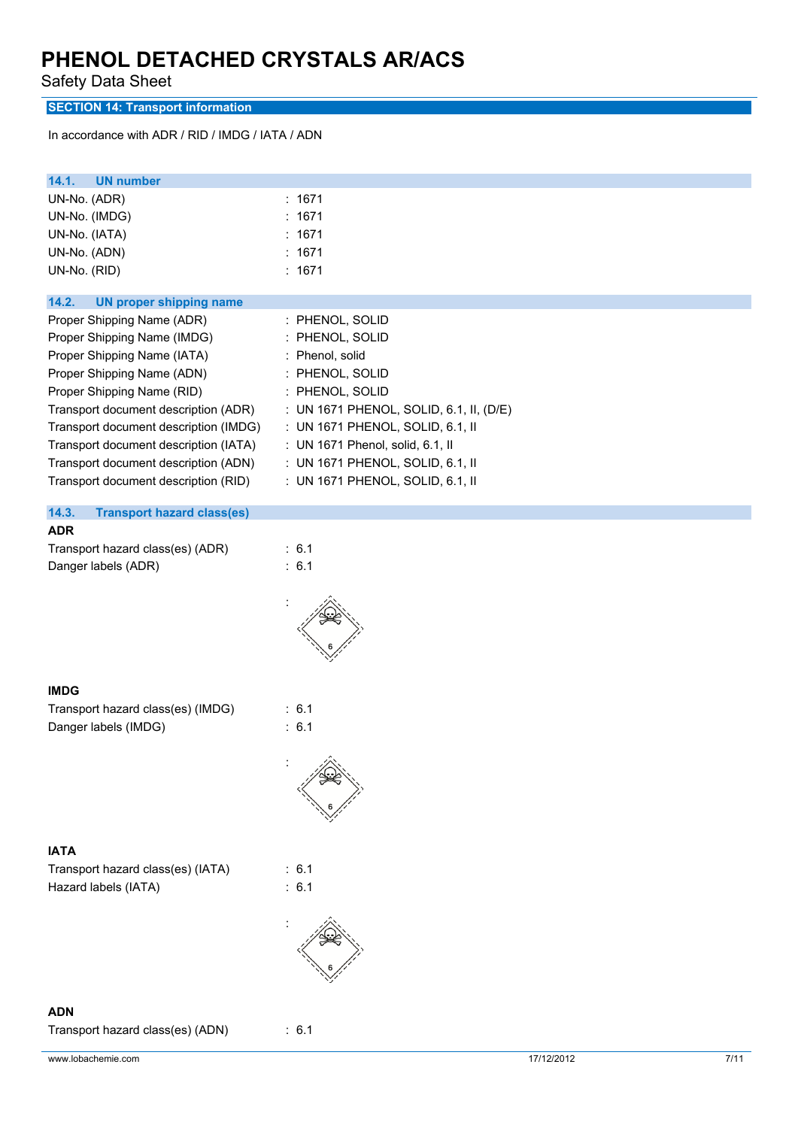Safety Data Sheet

**SECTION 14: Transport information**

In accordance with ADR / RID / IMDG / IATA / ADN

| 14.1.<br><b>UN number</b>                  |                                         |
|--------------------------------------------|-----------------------------------------|
| UN-No. (ADR)                               | : 1671                                  |
| UN-No. (IMDG)                              | : 1671                                  |
| UN-No. (IATA)                              | : 1671                                  |
| UN-No. (ADN)                               | : 1671                                  |
| UN-No. (RID)                               | : 1671                                  |
| 14.2.<br><b>UN proper shipping name</b>    |                                         |
| Proper Shipping Name (ADR)                 | : PHENOL, SOLID                         |
| Proper Shipping Name (IMDG)                | : PHENOL, SOLID                         |
| Proper Shipping Name (IATA)                | : Phenol, solid                         |
| Proper Shipping Name (ADN)                 | : PHENOL, SOLID                         |
| Proper Shipping Name (RID)                 | : PHENOL, SOLID                         |
| Transport document description (ADR)       | : UN 1671 PHENOL, SOLID, 6.1, II, (D/E) |
| Transport document description (IMDG)      | : UN 1671 PHENOL, SOLID, 6.1, II        |
| Transport document description (IATA)      | : UN 1671 Phenol, solid, 6.1, II        |
| Transport document description (ADN)       | : UN 1671 PHENOL, SOLID, 6.1, II        |
| Transport document description (RID)       | : UN 1671 PHENOL, SOLID, 6.1, II        |
| 14.3.<br><b>Transport hazard class(es)</b> |                                         |
| <b>ADR</b>                                 |                                         |
| Transport hazard class(es) (ADR)           | : 6.1                                   |
| Danger labels (ADR)                        | : 6.1                                   |
|                                            |                                         |
| <b>IMDG</b>                                |                                         |
| Transport hazard class(es) (IMDG)          | : 6.1                                   |
| Danger labels (IMDG)                       | : 6.1                                   |
|                                            |                                         |
| <b>IATA</b>                                |                                         |
| Transport hazard class(es) (IATA)          | : 6.1                                   |
| Hazard labels (IATA)                       | : 6.1                                   |
|                                            |                                         |
|                                            |                                         |
| <b>ADN</b>                                 |                                         |
| Transport hazard class(es) (ADN)           | : 6.1                                   |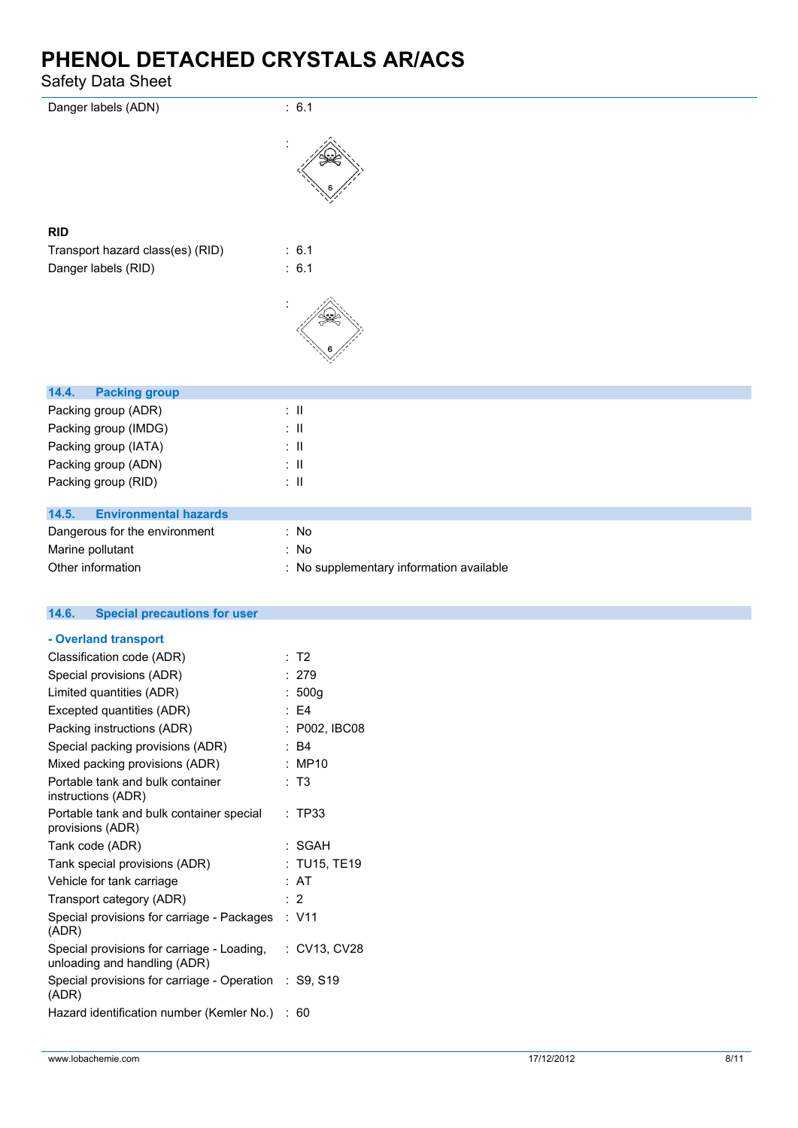Safety Data Sheet

| Danger labels (ADN)                                                        | : 6.1                                    |
|----------------------------------------------------------------------------|------------------------------------------|
|                                                                            |                                          |
| <b>RID</b>                                                                 |                                          |
| Transport hazard class(es) (RID)                                           | : 6.1                                    |
| Danger labels (RID)                                                        | : 6.1                                    |
|                                                                            |                                          |
| 14.4.<br><b>Packing group</b>                                              |                                          |
| Packing group (ADR)                                                        | $\therefore$ 11                          |
| Packing group (IMDG)                                                       | $\pm$ 11                                 |
| Packing group (IATA)                                                       | $\pm$ 11                                 |
| Packing group (ADN)                                                        | $\pm$ 11                                 |
| Packing group (RID)                                                        | $\therefore$ H                           |
| <b>Environmental hazards</b><br>14.5.                                      |                                          |
| Dangerous for the environment                                              | : No                                     |
| Marine pollutant                                                           | : No                                     |
| Other information                                                          | : No supplementary information available |
|                                                                            |                                          |
| 14.6.<br><b>Special precautions for user</b>                               |                                          |
| - Overland transport                                                       |                                          |
| Classification code (ADR)                                                  | : T2                                     |
| Special provisions (ADR)                                                   | : 279                                    |
| Limited quantities (ADR)                                                   | t,<br>500g                               |
| Excepted quantities (ADR)                                                  | E <sub>4</sub><br>÷                      |
| Packing instructions (ADR)                                                 | : P002, IBC08                            |
| Special packing provisions (ADR)                                           | : B4                                     |
| Mixed packing provisions (ADR)                                             | : MP10                                   |
| Portable tank and bulk container<br>instructions (ADR)                     | : T3                                     |
| Portable tank and bulk container special<br>provisions (ADR)               | : TP33                                   |
| Tank code (ADR)                                                            | : SGAH                                   |
| Tank special provisions (ADR)                                              | : TU15, TE19                             |
| Vehicle for tank carriage                                                  | : AT                                     |
| Transport category (ADR)                                                   | : 2                                      |
| Special provisions for carriage - Packages<br>(ADR)                        | : V11                                    |
| Special provisions for carriage - Loading,<br>unloading and handling (ADR) | : CV13, CV28                             |
| Special provisions for carriage - Operation                                | : S9, S19                                |

Hazard identification number (Kemler No.) : 60

(ADR)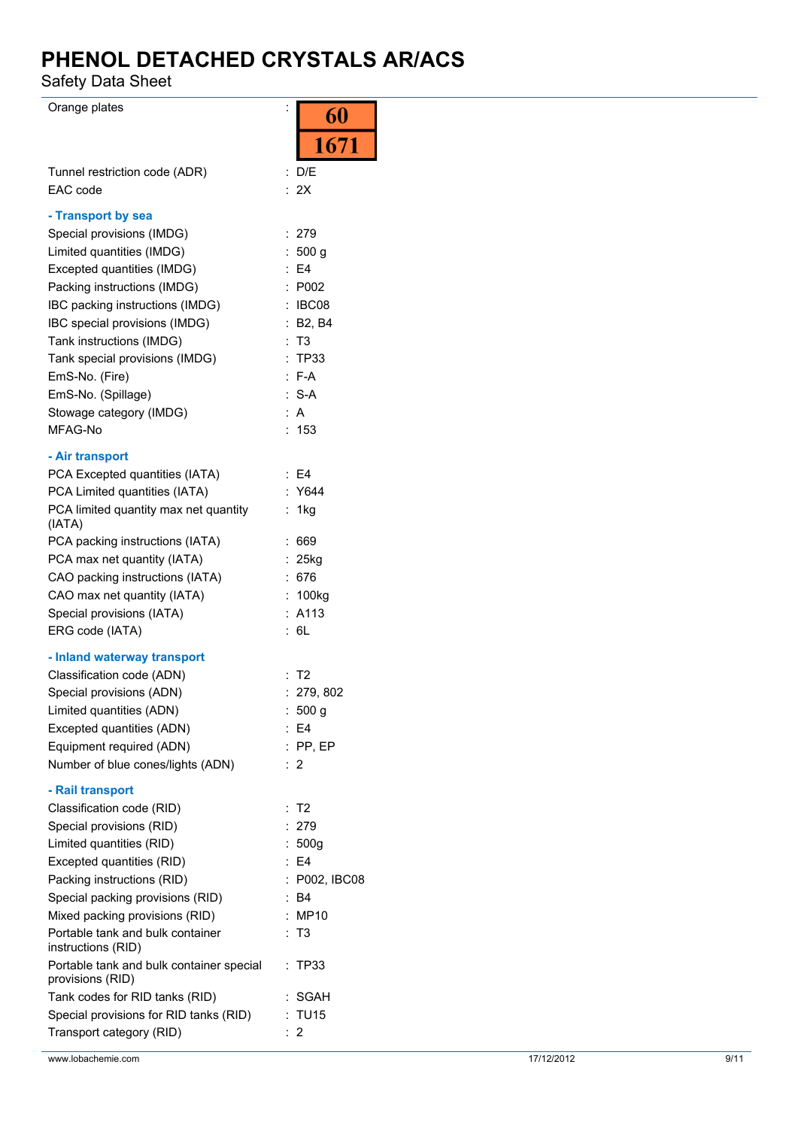Safety Data Sheet

Orange plates is a set of the set of the set of the set of the set of the set of the set of the set of the set of the set of the set of the set of the set of the set of the set of the set of the set of the set of the set o

|                                                              | OU                               |
|--------------------------------------------------------------|----------------------------------|
|                                                              | 1671                             |
|                                                              |                                  |
| Tunnel restriction code (ADR)<br>EAC code                    | : D/E                            |
|                                                              | : 2X                             |
| - Transport by sea                                           |                                  |
| Special provisions (IMDG)                                    | : 279                            |
| Limited quantities (IMDG)                                    | : 500 g                          |
| Excepted quantities (IMDG)                                   | $E = 4$                          |
| Packing instructions (IMDG)                                  | P002<br>÷                        |
| IBC packing instructions (IMDG)                              | : IBCO8                          |
| IBC special provisions (IMDG)                                | : B2, B4                         |
| Tank instructions (IMDG)                                     | T3                               |
| Tank special provisions (IMDG)                               | <b>TP33</b>                      |
| EmS-No. (Fire)                                               | $: F-A$                          |
| EmS-No. (Spillage)                                           | $: S-A$                          |
| Stowage category (IMDG)                                      | : A                              |
| MFAG-No                                                      | :153                             |
| - Air transport                                              |                                  |
| PCA Excepted quantities (IATA)                               | : E4                             |
| PCA Limited quantities (IATA)                                | : Y644                           |
| PCA limited quantity max net quantity<br>(IATA)              | 1kg<br>÷.                        |
| PCA packing instructions (IATA)                              | 669                              |
| PCA max net quantity (IATA)                                  | $: 25$ kg                        |
| CAO packing instructions (IATA)                              | 676                              |
| CAO max net quantity (IATA)                                  | 100kg                            |
| Special provisions (IATA)                                    | : A113                           |
| ERG code (IATA)                                              | 6L                               |
| - Inland waterway transport                                  |                                  |
| Classification code (ADN)                                    | $:$ T2                           |
| Special provisions (ADN)                                     | : 279, 802                       |
| Limited quantities (ADN)                                     | 500 <sub>g</sub>                 |
| Excepted quantities (ADN)                                    | E4                               |
| Equipment required (ADN)                                     | $:$ PP, EP                       |
| Number of blue cones/lights (ADN)                            | :2                               |
| - Rail transport                                             |                                  |
| Classification code (RID)                                    | T <sub>2</sub><br>$\ddot{\cdot}$ |
| Special provisions (RID)                                     | 279                              |
| Limited quantities (RID)                                     | 500q                             |
| Excepted quantities (RID)                                    | $E = 4$                          |
| Packing instructions (RID)                                   | P002, IBC08                      |
| Special packing provisions (RID)                             | : B4                             |
| Mixed packing provisions (RID)                               | MP10                             |
| Portable tank and bulk container<br>instructions (RID)       | : T3                             |
| Portable tank and bulk container special<br>provisions (RID) | TP33                             |
| Tank codes for RID tanks (RID)                               | SGAH                             |
| Special provisions for RID tanks (RID)                       | : TU15                           |
| Transport category (RID)                                     | : 2                              |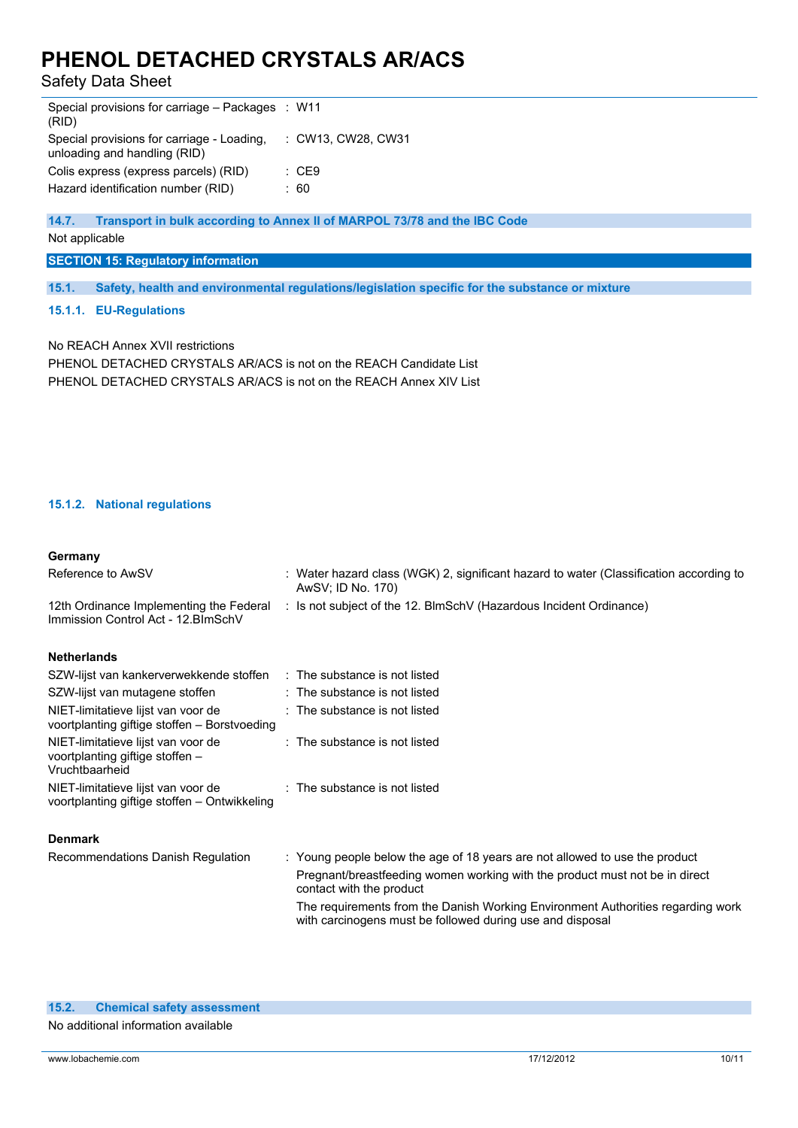Safety Data Sheet

| Special provisions for carriage – Packages : W11<br>(RID)                  |                    |
|----------------------------------------------------------------------------|--------------------|
| Special provisions for carriage - Loading.<br>unloading and handling (RID) | : CW13, CW28, CW31 |
| Colis express (express parcels) (RID)                                      | : CE9              |
| Hazard identification number (RID)                                         | : 60               |

**14.7. Transport in bulk according to Annex II of MARPOL 73/78 and the IBC Code**

Not applicable

**SECTION 15: Regulatory information**

**15.1. Safety, health and environmental regulations/legislation specific for the substance or mixture**

#### **15.1.1. EU-Regulations**

No REACH Annex XVII restrictions PHENOL DETACHED CRYSTALS AR/ACS is not on the REACH Candidate List PHENOL DETACHED CRYSTALS AR/ACS is not on the REACH Annex XIV List

### **15.1.2. National regulations**

voortplanting giftige stoffen –

#### **Germany**

| Reference to AwSV                                                                  | : Water hazard class (WGK) 2, significant hazard to water (Classification according to<br>AwSV; ID No. 170) |
|------------------------------------------------------------------------------------|-------------------------------------------------------------------------------------------------------------|
| 12th Ordinance Implementing the Federal<br>Immission Control Act - 12. BlmSchV     | Is not subject of the 12. BlmSchV (Hazardous Incident Ordinance)                                            |
| <b>Netherlands</b>                                                                 |                                                                                                             |
| SZW-lijst van kankerverwekkende stoffen                                            | $\therefore$ The substance is not listed                                                                    |
| SZW-lijst van mutagene stoffen                                                     | $\therefore$ The substance is not listed                                                                    |
| NIET-limitatieve lijst van voor de<br>voortplanting giftige stoffen - Borstvoeding | : The substance is not listed                                                                               |
| NIET-limitatieve lijst van voor de                                                 | : The substance is not listed                                                                               |

| Vruchtbaarheid                               |                               |
|----------------------------------------------|-------------------------------|
| NIET-limitatieve lijst van voor de           | : The substance is not listed |
| voortplanting giftige stoffen – Ontwikkeling |                               |

#### **Denmark**

| Recommendations Danish Regulation | : Young people below the age of 18 years are not allowed to use the product                                                                  |
|-----------------------------------|----------------------------------------------------------------------------------------------------------------------------------------------|
|                                   | Pregnant/breast feeding women working with the product must not be in direct<br>contact with the product                                     |
|                                   | The requirements from the Danish Working Environment Authorities regarding work<br>with carcinogens must be followed during use and disposal |

No additional information available